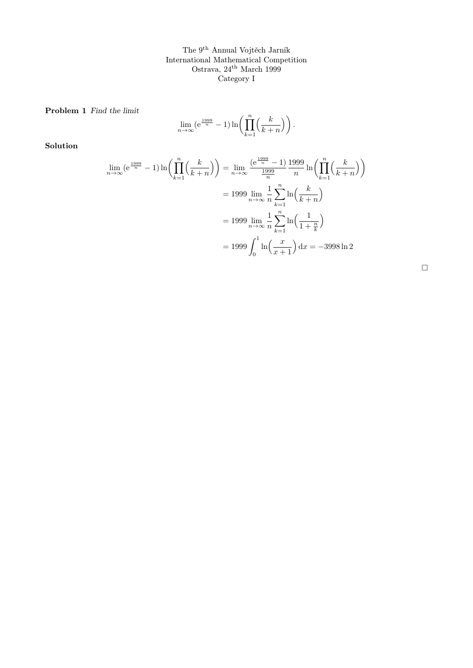The 9th Annual Vojtěch Jarník International Mathematical Competition Ostrava, 24th March 1999 Category I

Problem 1 Find the limit

$$
\lim_{n \to \infty} (e^{\frac{1999}{n}} - 1) \ln \left( \prod_{k=1}^{n} \left( \frac{k}{k+n} \right) \right).
$$

Solution

$$
\lim_{n \to \infty} (e^{\frac{1999}{n}} - 1) \ln \left( \prod_{k=1}^{n} \left( \frac{k}{k+n} \right) \right) = \lim_{n \to \infty} \frac{(e^{\frac{1999}{n} - 1})}{\frac{1999}{n}} \ln \left( \prod_{k=1}^{n} \left( \frac{k}{k+n} \right) \right)
$$

$$
= 1999 \lim_{n \to \infty} \frac{1}{n} \sum_{k=1}^{n} \ln \left( \frac{k}{k+n} \right)
$$

$$
= 1999 \lim_{n \to \infty} \frac{1}{n} \sum_{k=1}^{n} \ln \left( \frac{1}{1 + \frac{n}{k}} \right)
$$

$$
= 1999 \int_{0}^{1} \ln \left( \frac{x}{x+1} \right) dx = -3998 \ln 2
$$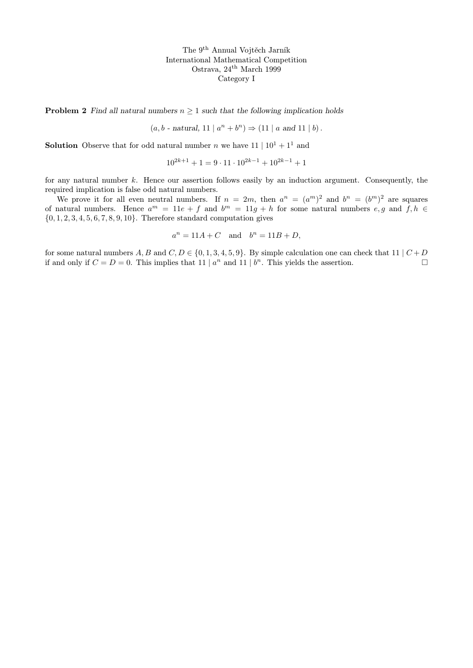The 9th Annual Vojtěch Jarník International Mathematical Competition Ostrava, 24th March 1999 Category I

**Problem 2** Find all natural numbers  $n \geq 1$  such that the following implication holds

 $(a, b \text{ - natural}, 11 \mid a^n + b^n) \Rightarrow (11 \mid a \text{ and } 11 \mid b).$ 

**Solution** Observe that for odd natural number n we have  $11 \mid 10^1 + 1^1$  and

 $10^{2k+1} + 1 = 9 \cdot 11 \cdot 10^{2k-1} + 10^{2k-1} + 1$ 

for any natural number  $k$ . Hence our assertion follows easily by an induction argument. Consequently, the required implication is false odd natural numbers.

We prove it for all even neutral numbers. If  $n = 2m$ , then  $a^n = (a^m)^2$  and  $b^n = (b^m)^2$  are squares of natural numbers. Hence  $a^m = 11e + f$  and  $b^m = 11g + h$  for some natural numbers  $e, g$  and  $f, h \in$  $\{0, 1, 2, 3, 4, 5, 6, 7, 8, 9, 10\}$ . Therefore standard computation gives

$$
a^n = 11A + C
$$
 and  $b^n = 11B + D$ ,

for some natural numbers A, B and C,  $D \in \{0, 1, 3, 4, 5, 9\}$ . By simple calculation one can check that 11 |  $C + D$ if and only if  $C = D = 0$ . This implies that  $11 | a^n$  and  $11 | b^n$ . This yields the assertion.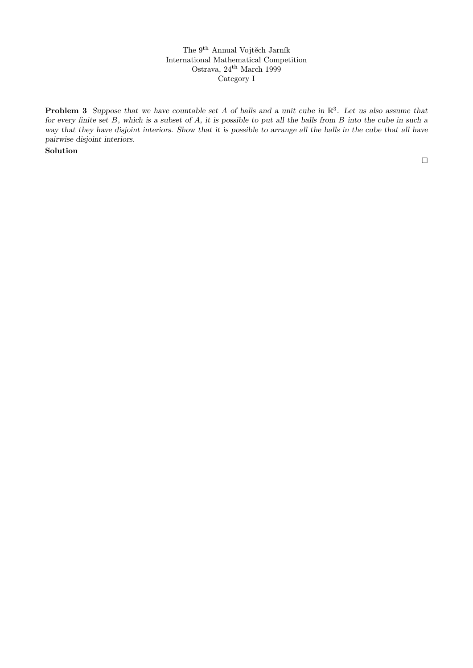The 9th Annual Vojtěch Jarník International Mathematical Competition Ostrava, 24<sup>th</sup> March 1999 Category I

**Problem 3** Suppose that we have countable set A of balls and a unit cube in  $\mathbb{R}^3$ . Let us also assume that for every finite set  $B$ , which is a subset of  $A$ , it is possible to put all the balls from  $B$  into the cube in such a way that they have disjoint interiors. Show that it is possible to arrange all the balls in the cube that all have pairwise disjoint interiors.

Solution

 $\Box$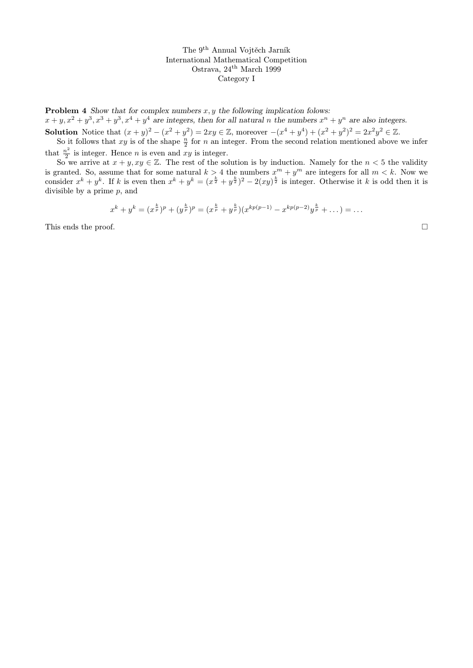The 9th Annual Vojtěch Jarník International Mathematical Competition Ostrava, 24th March 1999 Category I

**Problem 4** Show that for complex numbers  $x, y$  the following implication folows:  $x+y, x^2+y^3, x^3+y^3, x^4+y^4$  are integers, then for all natural n the numbers  $x^n+y^n$  are also integers.

**Solution** Notice that  $(x + y)^2 - (x^2 + y^2) = 2xy \in \mathbb{Z}$ , moreover  $-(x^4 + y^4) + (x^2 + y^2)^2 = 2x^2y^2 \in \mathbb{Z}$ .

So it follows that xy is of the shape  $\frac{n}{2}$  for n an integer. From the second relation mentioned above we infer that  $\frac{n^2}{2}$  is integer. Hence *n* is even and *x*  $\frac{i^2}{2}$  is integer. Hence *n* is even and *xy* is integer.

So we arrive at  $x + y$ ,  $xy \in \mathbb{Z}$ . The rest of the solution is by induction. Namely for the  $n < 5$  the validity is granted. So, assume that for some natural  $k > 4$  the numbers  $x^m + y^m$  are integers for all  $m < k$ . Now we consider  $x^k + y^k$ . If k is even then  $x^k + y^k = (x^{\frac{k}{2}} + y^{\frac{k}{2}})^2 - 2(xy)^{\frac{k}{2}}$  is integer. Otherwise it k is odd then it is divisible by a prime  $p$ , and

$$
x^{k} + y^{k} = (x^{\frac{k}{p}})^{p} + (y^{\frac{k}{p}})^{p} = (x^{\frac{k}{p}} + y^{\frac{k}{p}})(x^{kp(p-1)} - x^{kp(p-2)}y^{\frac{k}{p}} + \dots) = \dots
$$

This ends the proof.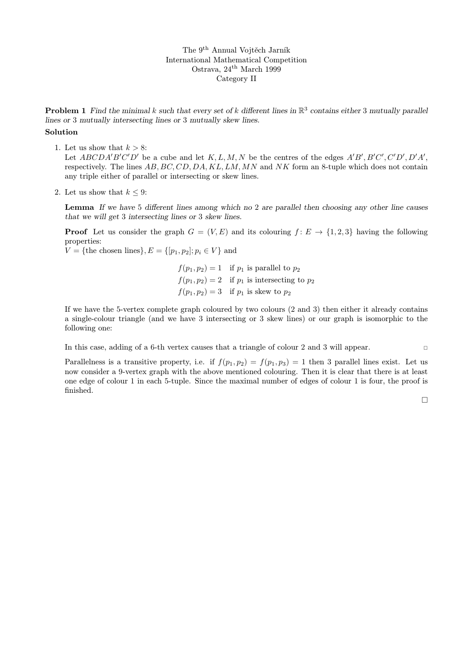The 9th Annual Vojtěch Jarník International Mathematical Competition Ostrava, 24th March 1999 Category II

**Problem 1** Find the minimal k such that every set of k different lines in  $\mathbb{R}^3$  contains either 3 mutually parallel lines or 3 mutually intersecting lines or 3 mutually skew lines.

## Solution

1. Let us show that  $k > 8$ :

Let ABCDA'B'C'D' be a cube and let K, L, M, N be the centres of the edges  $A'B', B'C', C'D', D'A',$ respectively. The lines  $AB, BC, CD, DA, KL, LM, MN$  and NK form an 8-tuple which does not contain any triple either of parallel or intersecting or skew lines.

2. Let us show that  $k \leq 9$ :

Lemma If we have 5 different lines among which no 2 are parallel then choosing any other line causes that we will get 3 intersecting lines or 3 skew lines.

**Proof** Let us consider the graph  $G = (V, E)$  and its colouring  $f: E \to \{1, 2, 3\}$  having the following properties:

 $V = \{\text{the chosen lines}\}, E = \{[p_1, p_2]; p_i \in V\}$  and

 $f(p_1, p_2) = 1$  if  $p_1$  is parallel to  $p_2$  $f(p_1, p_2) = 2$  if  $p_1$  is intersecting to  $p_2$  $f(p_1, p_2) = 3$  if  $p_1$  is skew to  $p_2$ 

If we have the 5-vertex complete graph coloured by two colours (2 and 3) then either it already contains a single-colour triangle (and we have 3 intersecting or 3 skew lines) or our graph is isomorphic to the following one:

In this case, adding of a 6-th vertex causes that a triangle of colour 2 and 3 will appear.

Parallelness is a transitive property, i.e. if  $f(p_1, p_2) = f(p_1, p_3) = 1$  then 3 parallel lines exist. Let us now consider a 9-vertex graph with the above mentioned colouring. Then it is clear that there is at least one edge of colour 1 in each 5-tuple. Since the maximal number of edges of colour 1 is four, the proof is finished.

 $\Box$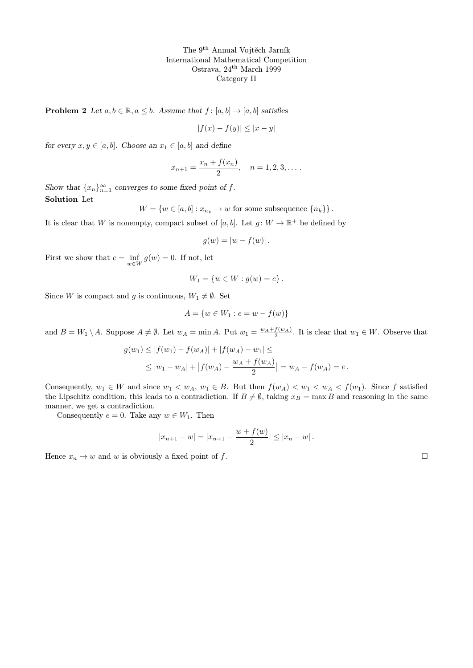The 9th Annual Vojtěch Jarník International Mathematical Competition Ostrava, 24th March 1999 Category II

**Problem 2** Let  $a, b \in \mathbb{R}, a \leq b$ . Assume that  $f : [a, b] \rightarrow [a, b]$  satisfies

$$
|f(x) - f(y)| \le |x - y|
$$

for every  $x, y \in [a, b]$ . Choose an  $x_1 \in [a, b]$  and define

$$
x_{n+1} = \frac{x_n + f(x_n)}{2}, \quad n = 1, 2, 3, \dots
$$

Show that  ${x_n}_{n=1}^{\infty}$  converges to some fixed point of f. Solution Let

 $W = \{w \in [a, b] : x_{n_k} \to w \text{ for some subsequence } \{n_k\} \}.$ 

It is clear that W is nonempty, compact subset of [a, b]. Let  $g: W \to \mathbb{R}^+$  be defined by

$$
g(w) = |w - f(w)|.
$$

First we show that  $e = \inf_{w \in W} g(w) = 0$ . If not, let

$$
W_1 = \{ w \in W : g(w) = e \}.
$$

Since W is compact and g is continuous,  $W_1 \neq \emptyset$ . Set

$$
A = \{w \in W_1 : e = w - f(w)\}
$$

and  $B = W_1 \setminus A$ . Suppose  $A \neq \emptyset$ . Let  $w_A = \min A$ . Put  $w_1 = \frac{w_A + f(w_A)}{2}$ . It is clear that  $w_1 \in W$ . Observe that

$$
g(w_1) \le |f(w_1) - f(w_A)| + |f(w_A) - w_1| \le
$$
  
 
$$
\le |w_1 - w_A| + |f(w_A) - \frac{w_A + f(w_A)}{2}| = w_A - f(w_A) = e.
$$

Consequently,  $w_1 \in W$  and since  $w_1 \prec w_A$ ,  $w_1 \in B$ . But then  $f(w_A) \prec w_1 \prec w_A \prec f(w_1)$ . Since f satisfied the Lipschitz condition, this leads to a contradiction. If  $B \neq \emptyset$ , taking  $x_B = \max B$  and reasoning in the same manner, we get a contradiction.

Consequently  $e = 0$ . Take any  $w \in W_1$ . Then

$$
|x_{n+1} - w| = |x_{n+1} - \frac{w + f(w)}{2}| \le |x_n - w|.
$$

Hence  $x_n \to w$  and w is obviously a fixed point of f.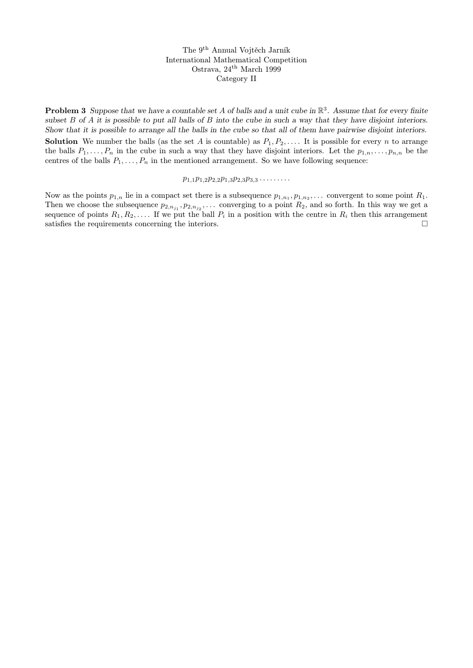The 9th Annual Vojtěch Jarník International Mathematical Competition Ostrava, 24th March 1999 Category II

**Problem 3** Suppose that we have a countable set A of balls and a unit cube in  $\mathbb{R}^3$ . Assume that for every finite subset  $B$  of  $A$  it is possible to put all balls of  $B$  into the cube in such a way that they have disjoint interiors. Show that it is possible to arrange all the balls in the cube so that all of them have pairwise disjoint interiors.

**Solution** We number the balls (as the set A is countable) as  $P_1, P_2, \ldots$ . It is possible for every n to arrange the balls  $P_1, \ldots, P_n$  in the cube in such a way that they have disjoint interiors. Let the  $p_{1,n}, \ldots, p_{n,n}$  be the centres of the balls  $P_1, \ldots, P_n$  in the mentioned arrangement. So we have following sequence:

## $p_{1,1}p_{1,2}p_{2,2}p_{1,3}p_{2,3}p_{3,3}\ldots$

Now as the points  $p_{1,n}$  lie in a compact set there is a subsequence  $p_{1,n_1}, p_{1,n_2}, \ldots$  convergent to some point  $R_1$ . Then we choose the subsequence  $p_{2,n_{j_1}}, p_{2,n_{j_2}}, \ldots$  converging to a point  $R_2$ , and so forth. In this way we get a sequence of points  $R_1, R_2, \ldots$ . If we put the ball  $P_i$  in a position with the centre in  $R_i$  then this arrangement satisfies the requirements concerning the interiors.  $\Box$